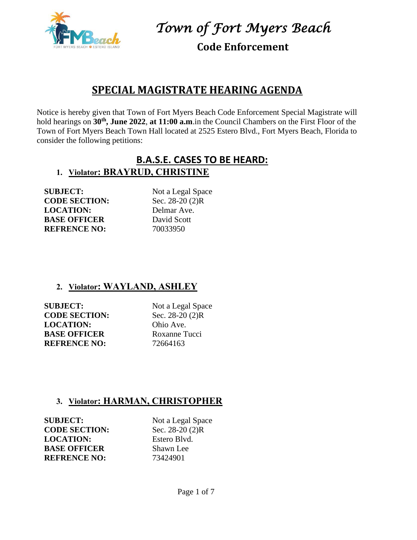

**Code Enforcement**

## **SPECIAL MAGISTRATE HEARING AGENDA**

Notice is hereby given that Town of Fort Myers Beach Code Enforcement Special Magistrate will hold hearings on **30th , June 2022**, **at 11:00 a.m**.in the Council Chambers on the First Floor of the Town of Fort Myers Beach Town Hall located at 2525 Estero Blvd., Fort Myers Beach, Florida to consider the following petitions:

## **B.A.S.E. CASES TO BE HEARD: 1. Violator: BRAYRUD, CHRISTINE**

**SUBJECT:** Not a Legal Space **CODE SECTION:** Sec. 28-20 (2)R **LOCATION:** Delmar Ave. **BASE OFFICER** David Scott **REFRENCE NO:** 70033950

## **2. Violator: WAYLAND, ASHLEY**

**SUBJECT:** Not a Legal Space **CODE SECTION:** Sec. 28-20 (2)R **LOCATION:** Ohio Ave. **BASE OFFICER** Roxanne Tucci **REFRENCE NO:** 72664163

## **3. Violator: HARMAN, CHRISTOPHER**

**SUBJECT:** Not a Legal Space **CODE SECTION:** Sec. 28-20 (2)R **LOCATION:** Estero Blvd. **BASE OFFICER** Shawn Lee **REFRENCE NO:** 73424901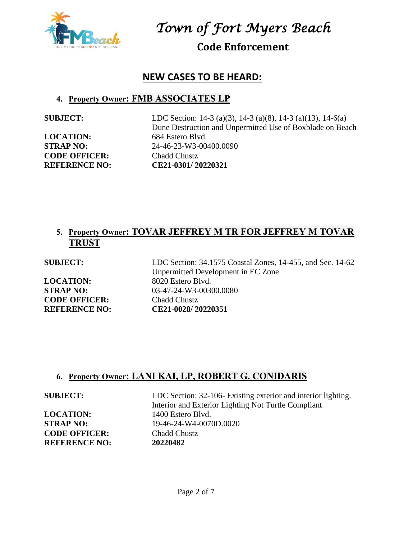

**Code Enforcement**

## **NEW CASES TO BE HEARD:**

## **4. Property Owner: FMB ASSOCIATES LP**

**LOCATION:** 684 Estero Blvd. **CODE OFFICER:** Chadd Chustz

**SUBJECT:** LDC Section: 14-3 (a)(3), 14-3 (a)(8), 14-3 (a)(13), 14-6(a) Dune Destruction and Unpermitted Use of Boxblade on Beach **STRAP NO:** 24-46-23-W3-00400.0090 **REFERENCE NO: CE21-0301/ 20220321**

## **5. Property Owner: TOVAR JEFFREY M TR FOR JEFFREY M TOVAR TRUST**

LOCATION: 8020 Estero Blvd. **CODE OFFICER:** Chadd Chustz

**SUBJECT:** LDC Section: 34.1575 Coastal Zones, 14-455, and Sec. 14-62 Unpermitted Development in EC Zone **STRAP NO:** 03-47-24-W3-00300.0080 **REFERENCE NO: CE21-0028/ 20220351**

## **6. Property Owner: LANI KAI, LP, ROBERT G. CONIDARIS**

**LOCATION:** 1400 Estero Blvd. **CODE OFFICER:** Chadd Chustz **REFERENCE NO: 20220482**

**SUBJECT:** LDC Section: 32-106- Existing exterior and interior lighting. Interior and Exterior Lighting Not Turtle Compliant **STRAP NO:** 19-46-24-W4-0070D.0020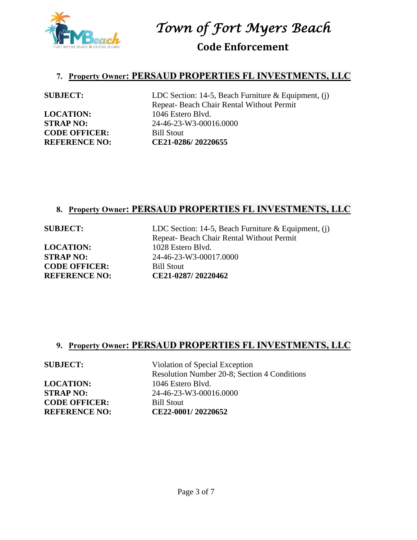

**Code Enforcement**

### **7. Property Owner: PERSAUD PROPERTIES FL INVESTMENTS, LLC**

LOCATION: 1046 Estero Blvd. **CODE OFFICER:** Bill Stout

**SUBJECT:** LDC Section: 14-5, Beach Furniture & Equipment, (j) Repeat- Beach Chair Rental Without Permit **STRAP NO:** 24-46-23-W3-00016.0000 **REFERENCE NO: CE21-0286/ 20220655**

## **8. Property Owner: PERSAUD PROPERTIES FL INVESTMENTS, LLC**

LOCATION: 1028 Estero Blvd. **CODE OFFICER:** Bill Stout

**SUBJECT:** LDC Section: 14-5, Beach Furniture & Equipment, (j) Repeat- Beach Chair Rental Without Permit **STRAP NO:** 24-46-23-W3-00017.0000 **REFERENCE NO: CE21-0287/ 20220462**

## **9. Property Owner: PERSAUD PROPERTIES FL INVESTMENTS, LLC**

LOCATION: 1046 Estero Blvd. **CODE OFFICER:** Bill Stout

**SUBJECT:** Violation of Special Exception Resolution Number 20-8; Section 4 Conditions **STRAP NO:** 24-46-23-W3-00016.0000 **REFERENCE NO: CE22-0001/ 20220652**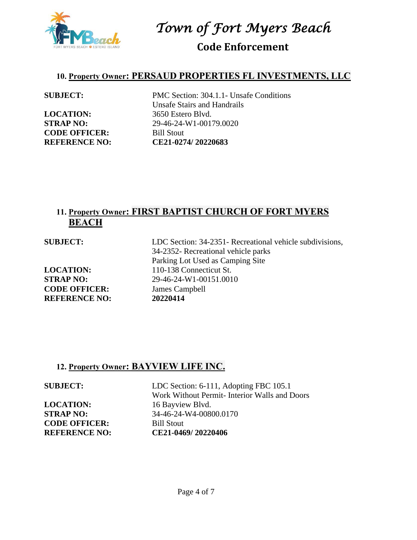

**Code Enforcement**

### **10. Property Owner: PERSAUD PROPERTIES FL INVESTMENTS, LLC**

**LOCATION:** 3650 Estero Blvd. **CODE OFFICER:** Bill Stout

**SUBJECT:** PMC Section: 304.1.1- Unsafe Conditions Unsafe Stairs and Handrails **STRAP NO:** 29-46-24-W1-00179.0020 **REFERENCE NO: CE21-0274/ 20220683**

## **11. Property Owner: FIRST BAPTIST CHURCH OF FORT MYERS BEACH**

| LDC Section: 34-2351- Recreational vehicle subdivisions,<br>34-2352- Recreational vehicle parks<br>Parking Lot Used as Camping Site |
|-------------------------------------------------------------------------------------------------------------------------------------|
| 110-138 Connecticut St.                                                                                                             |
| 29-46-24-W1-00151.0010                                                                                                              |
| James Campbell                                                                                                                      |
| 20220414                                                                                                                            |
|                                                                                                                                     |

## **12. Property Owner: BAYVIEW LIFE INC.**

**LOCATION:** 16 Bayview Blvd. **CODE OFFICER:** Bill Stout

**SUBJECT:** LDC Section: 6-111, Adopting FBC 105.1 Work Without Permit- Interior Walls and Doors **STRAP NO:** 34-46-24-W4-00800.0170 **REFERENCE NO: CE21-0469/ 20220406**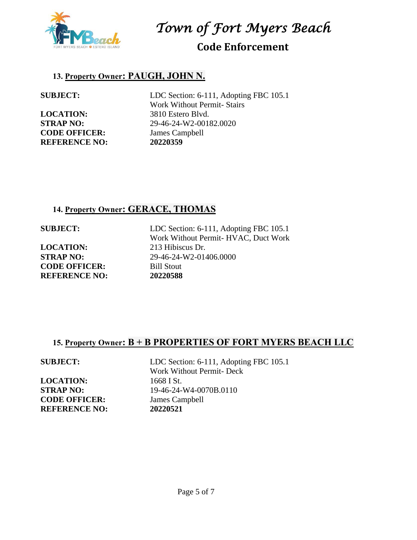

## **Code Enforcement**

## **13. Property Owner: PAUGH, JOHN N.**

**LOCATION:** 3810 Estero Blvd. **CODE OFFICER:** James Campbell **REFERENCE NO: 20220359**

**SUBJECT:** LDC Section: 6-111, Adopting FBC 105.1 Work Without Permit- Stairs **STRAP NO:** 29-46-24-W2-00182.0020

## **14. Property Owner: GERACE, THOMAS**

**LOCATION:** 213 Hibiscus Dr. **CODE OFFICER:** Bill Stout **REFERENCE NO: 20220588**

**SUBJECT:** LDC Section: 6-111, Adopting FBC 105.1 Work Without Permit- HVAC, Duct Work **STRAP NO:** 29-46-24-W2-01406.0000

## **15. Property Owner: B + B PROPERTIES OF FORT MYERS BEACH LLC**

**LOCATION:** 1668 I St. **CODE OFFICER:** James Campbell **REFERENCE NO: 20220521**

**SUBJECT:** LDC Section: 6-111, Adopting FBC 105.1 Work Without Permit- Deck **STRAP NO:** 19-46-24-W4-0070B.0110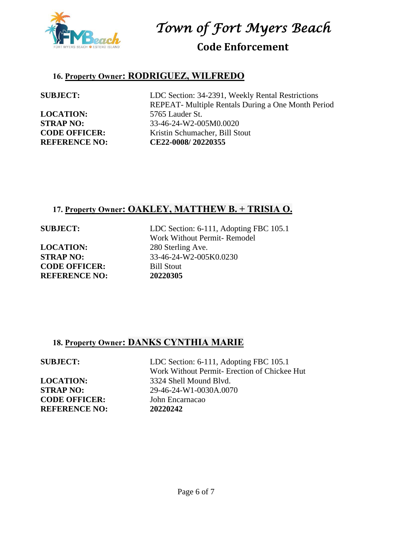

**Code Enforcement**

## **16. Property Owner: RODRIGUEZ, WILFREDO**

**LOCATION:** 5765 Lauder St.

**SUBJECT:** LDC Section: 34-2391, Weekly Rental Restrictions REPEAT- Multiple Rentals During a One Month Period **STRAP NO:** 33-46-24-W2-005M0.0020 **CODE OFFICER:** Kristin Schumacher, Bill Stout **REFERENCE NO: CE22-0008/ 20220355**

## **17. Property Owner: OAKLEY, MATTHEW B. + TRISIA O.**

**LOCATION:** 280 Sterling Ave. **CODE OFFICER:** Bill Stout **REFERENCE NO: 20220305**

**SUBJECT:** LDC Section: 6-111, Adopting FBC 105.1 Work Without Permit- Remodel **STRAP NO:** 33-46-24-W2-005K0.0230

## **18. Property Owner: DANKS CYNTHIA MARIE**

**CODE OFFICER:** John Encarnacao **REFERENCE NO: 20220242**

**SUBJECT:** LDC Section: 6-111, Adopting FBC 105.1 Work Without Permit- Erection of Chickee Hut **LOCATION:** 3324 Shell Mound Blvd. **STRAP NO:** 29-46-24-W1-0030A.0070